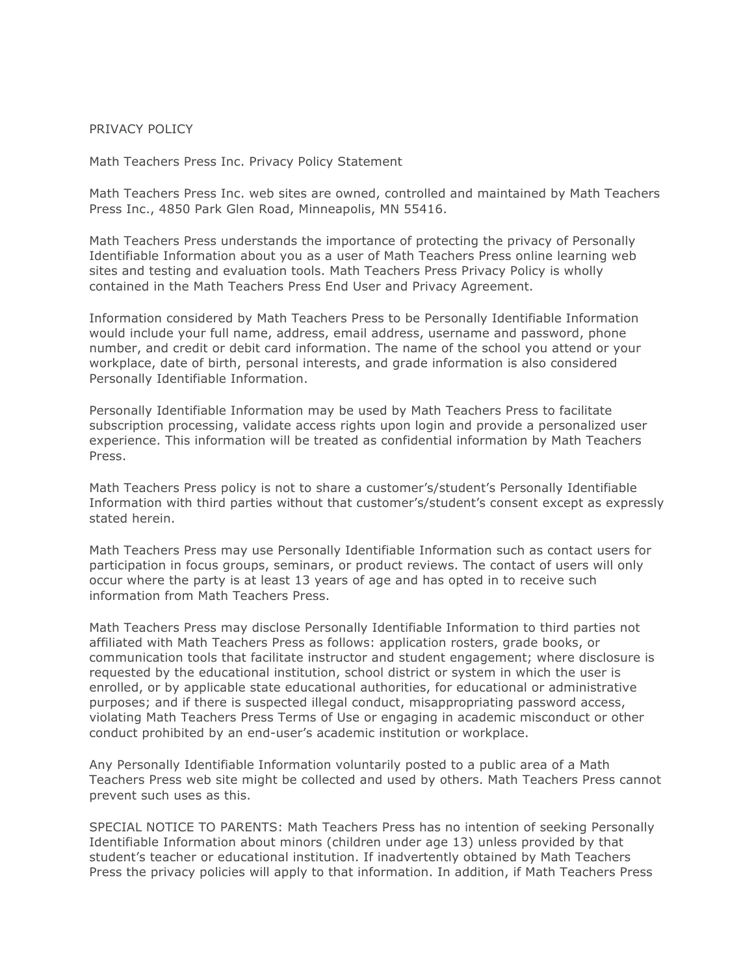## PRIVACY POLICY

Math Teachers Press Inc. Privacy Policy Statement

Math Teachers Press Inc. web sites are owned, controlled and maintained by Math Teachers Press Inc., 4850 Park Glen Road, Minneapolis, MN 55416.

Math Teachers Press understands the importance of protecting the privacy of Personally Identifiable Information about you as a user of Math Teachers Press online learning web sites and testing and evaluation tools. Math Teachers Press Privacy Policy is wholly contained in the Math Teachers Press End User and Privacy Agreement.

Information considered by Math Teachers Press to be Personally Identifiable Information would include your full name, address, email address, username and password, phone number, and credit or debit card information. The name of the school you attend or your workplace, date of birth, personal interests, and grade information is also considered Personally Identifiable Information.

Personally Identifiable Information may be used by Math Teachers Press to facilitate subscription processing, validate access rights upon login and provide a personalized user experience. This information will be treated as confidential information by Math Teachers Press.

Math Teachers Press policy is not to share a customer's/student's Personally Identifiable Information with third parties without that customer's/student's consent except as expressly stated herein.

Math Teachers Press may use Personally Identifiable Information such as contact users for participation in focus groups, seminars, or product reviews. The contact of users will only occur where the party is at least 13 years of age and has opted in to receive such information from Math Teachers Press.

Math Teachers Press may disclose Personally Identifiable Information to third parties not affiliated with Math Teachers Press as follows: application rosters, grade books, or communication tools that facilitate instructor and student engagement; where disclosure is requested by the educational institution, school district or system in which the user is enrolled, or by applicable state educational authorities, for educational or administrative purposes; and if there is suspected illegal conduct, misappropriating password access, violating Math Teachers Press Terms of Use or engaging in academic misconduct or other conduct prohibited by an end-user's academic institution or workplace.

Any Personally Identifiable Information voluntarily posted to a public area of a Math Teachers Press web site might be collected and used by others. Math Teachers Press cannot prevent such uses as this.

SPECIAL NOTICE TO PARENTS: Math Teachers Press has no intention of seeking Personally Identifiable Information about minors (children under age 13) unless provided by that student's teacher or educational institution. If inadvertently obtained by Math Teachers Press the privacy policies will apply to that information. In addition, if Math Teachers Press